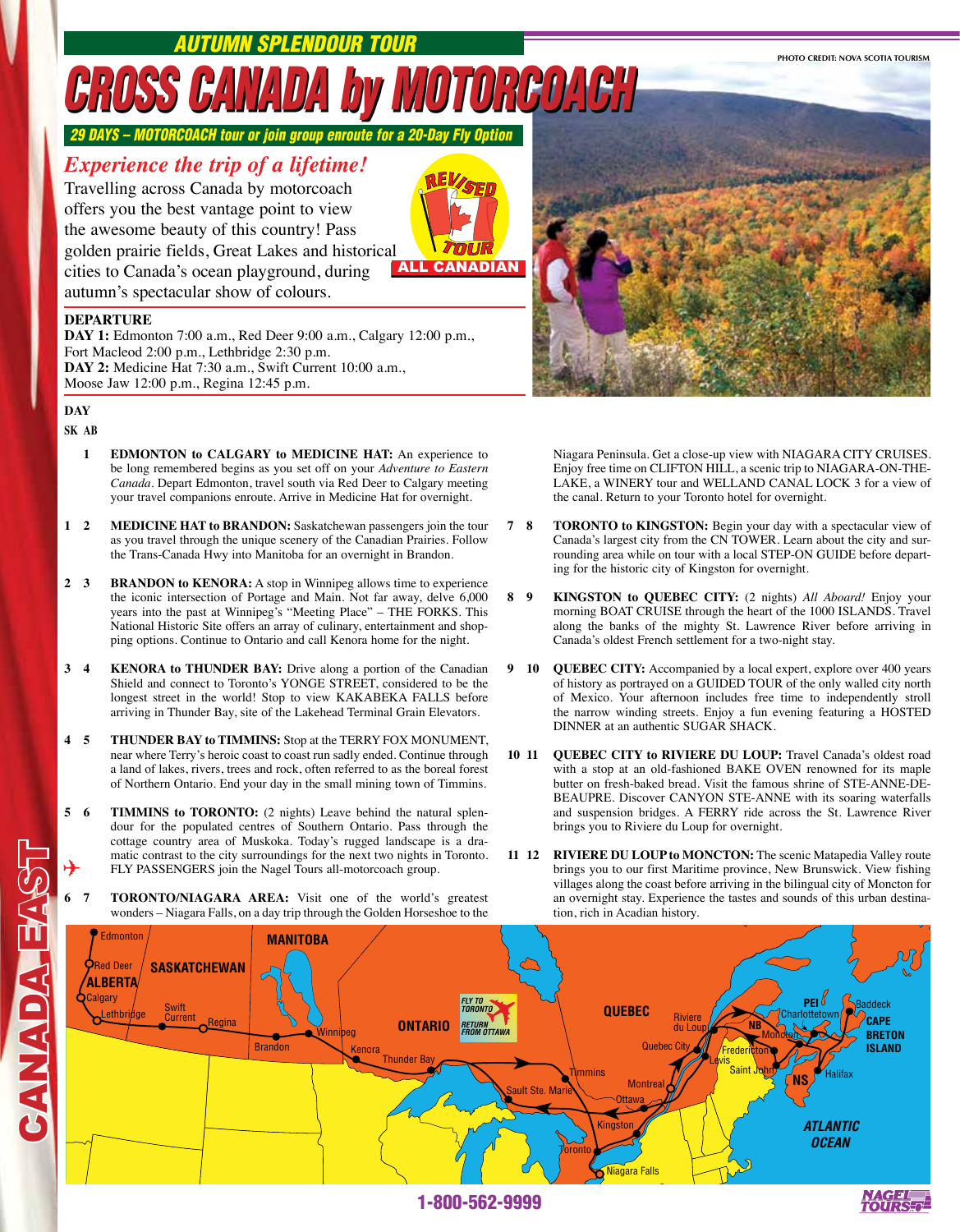*Autumn Splendour Tour*

**PHOTO CREDIT: NOVA SCOTIA TOURISM**

## *CROSS CANADA by MOTORCOACH*

**29 DAYS – MOTORCOACH tour or join group enroute for a 20-Day Fly O** 

## *Experience the trip of a lifetime!*

Travelling across Canada by motorcoach offers you the best vantage point to view the awesome beauty of this country! Pass golden prairie fields, Great Lakes and historical cities to Canada's ocean playground, during autumn's spectacular show of colours.



## **DEPARTURE**

**DAY 1:** Edmonton 7:00 a.m., Red Deer 9:00 a.m., Calgary 12:00 p.m., Fort Macleod 2:00 p.m., Lethbridge 2:30 p.m. **DAY 2:** Medicine Hat 7:30 a.m., Swift Current 10:00 a.m., Moose Jaw 12:00 p.m., Regina 12:45 p.m.

## **DAY**

**SK AB** 

CANADA EAST

**CANADA EA** 

- **1 EDMONTON to CALGARY to MEDICINE HAT:** An experience to be long remembered begins as you set off on your *Adventure to Eastern Canada*. Depart Edmonton, travel south via Red Deer to Calgary meeting your travel companions enroute. Arrive in Medicine Hat for overnight.
- **1 2 MEDICINE HAT to BRANDON:** Saskatchewan passengers join the tour as you travel through the unique scenery of the Canadian Prairies. Follow the Trans-Canada Hwy into Manitoba for an overnight in Brandon.
- **2 3 BRANDON to KENORA:** A stop in Winnipeg allows time to experience the iconic intersection of Portage and Main. Not far away, delve 6,000 years into the past at Winnipeg's "Meeting Place" – THE FORKS. This National Historic Site offers an array of culinary, entertainment and shopping options. Continue to Ontario and call Kenora home for the night.
- **3 4 KENORA to THUNDER BAY:** Drive along a portion of the Canadian Shield and connect to Toronto's YONGE STREET, considered to be the longest street in the world! Stop to view KAKABEKA FALLS before arriving in Thunder Bay, site of the Lakehead Terminal Grain Elevators.
- **4 5 THUNDER BAY to TIMMINS:** Stop at the TERRY FOX MONUMENT, near where Terry's heroic coast to coast run sadly ended. Continue through a land of lakes, rivers, trees and rock, often referred to as the boreal forest of Northern Ontario. End your day in the small mining town of Timmins.
- **5 6 TIMMINS to TORONTO:** (2 nights) Leave behind the natural splendour for the populated centres of Southern Ontario. Pass through the cottage country area of Muskoka. Today's rugged landscape is a dramatic contrast to the city surroundings for the next two nights in Toronto. FLY PASSENGERS join the Nagel Tours all-motorcoach group. ✈
	- **6 7 TORONTO/NIAGARA AREA:** Visit one of the world's greatest wonders – Niagara Falls, on a day trip through the Golden Horseshoe to the



Niagara Peninsula. Get a close-up view with NIAGARA CITY CRUISES. Enjoy free time on CLIFTON HILL, a scenic trip to NIAGARA-ON-THE-Lake, a WINERY tour and WELLAND CANAL LOCK 3 for a view of the canal. Return to your Toronto hotel for overnight.

- **7 8 TORONTO to KINGSTON:** Begin your day with a spectacular view of Canada's largest city from the CN TOWER. Learn about the city and surrounding area while on tour with a local STEP-ON GUIDE before departing for the historic city of Kingston for overnight.
- **8 9 KINGSTON to QUEBEC CITY:** (2 nights) *All Aboard!* Enjoy your morning BOAT CRUISE through the heart of the 1000 ISLANDS. Travel along the banks of the mighty St. Lawrence River before arriving in Canada's oldest French settlement for a two-night stay.
- **9 10 QUEBEC CITY:** Accompanied by a local expert, explore over 400 years of history as portrayed on a GUIDED TOUR of the only walled city north of Mexico. Your afternoon includes free time to independently stroll the narrow winding streets. Enjoy a fun evening featuring a HOSTED DINNER at an authentic SUGAR SHACK.
- **10 11 QUEBEC CITY to RIVIERE DU LOUP:** Travel Canada's oldest road with a stop at an old-fashioned BAKE OVEN renowned for its maple butter on fresh-baked bread. Visit the famous shrine of STE-ANNE-DE-BEAUPRE. Discover CANYON STE-ANNE with its soaring waterfalls and suspension bridges. A FERRY ride across the St. Lawrence River brings you to Riviere du Loup for overnight.
- **11 12 RIVIERE DU LOUP to MONCTON:** The scenic Matapedia Valley route brings you to our first Maritime province, New Brunswick. View fishing villages along the coast before arriving in the bilingual city of Moncton for an overnight stay. Experience the tastes and sounds of this urban destination, rich in Acadian history.



1-800-562-9999